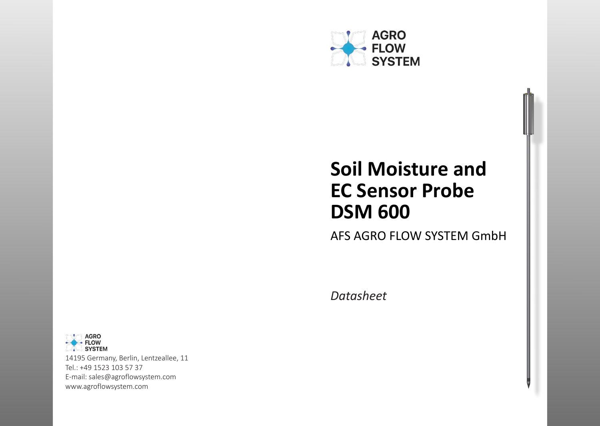

# **Soil Moisture and EC Sensor Probe DSM 600**

AFS AGRO FLOW SYSTEM GmbH

*Datasheet*



14195 Germany, Berlin, Lentzeallee, 11 Tel.: +49 1523 103 57 37 E-mail: sales@agroflowsystem.com www.agroflowsystem.com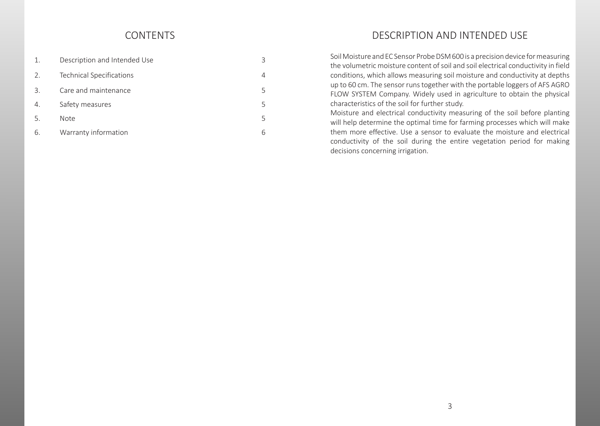| 1.              | Description and Intended Use    |   |
|-----------------|---------------------------------|---|
| 2.              | <b>Technical Specifications</b> | 4 |
| $\mathcal{B}$ . | Care and maintenance            | 5 |
| 4.              | Safety measures                 | 5 |
| -5.             | <b>Note</b>                     | 5 |
| 6.              | Warranty information            | რ |

# CONTENTS CONTENTS CONTENTS CONTENTS CONTENTS CONTENTS CONTENTS CONTENTS CONTENTS CONTENTS OF THE CONTENTS OF THE CONTENTS OF THE CONTENTS OF THE CONTENTS OF THE CONTENTS OF THE CONTENTS OF THE CONTENTS OF THE CONTENTS OF T

Soil Moisture and EC Sensor Probe DSM 600 is a precision device for measuring the volumetric moisture content of soil and soil electrical conductivity in field conditions, which allows measuring soil moisture and conductivity at depths up to 60 cm. The sensor runs together with the portable loggers of AFS AGRO FLOW SYSTEM Company. Widely used in agriculture to obtain the physical characteristics of the soil for further study.

Moisture and electrical conductivity measuring of the soil before planting will help determine the optimal time for farming processes which will make them more effective. Use a sensor to evaluate the moisture and electrical conductivity of the soil during the entire vegetation period for making decisions concerning irrigation.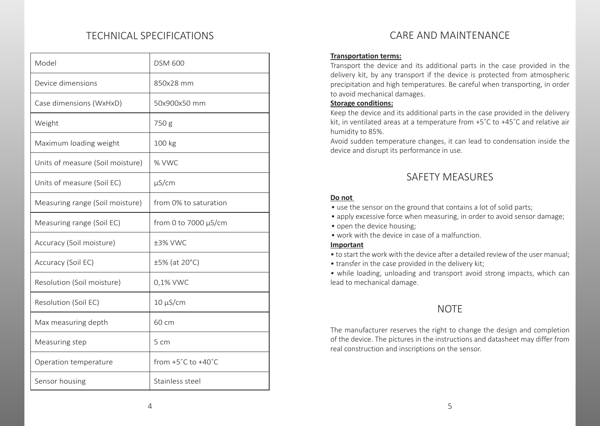# TECHNICAL SPECIFICATIONS CARE AND MAINTENANCE

| Model                            | <b>DSM 600</b>                         |
|----------------------------------|----------------------------------------|
| Device dimensions                | 850x28 mm                              |
| Case dimensions (WxHxD)          | 50x900x50 mm                           |
| Weight                           | 750 g                                  |
| Maximum loading weight           | 100 kg                                 |
| Units of measure (Soil moisture) | % VWC                                  |
| Units of measure (Soil EC)       | $\mu$ S/cm                             |
| Measuring range (Soil moisture)  | from 0% to saturation                  |
| Measuring range (Soil EC)        | from 0 to 7000 μS/cm                   |
| Accuracy (Soil moisture)         | ±3% VWC                                |
| Accuracy (Soil EC)               | ±5% (at 20°C)                          |
| Resolution (Soil moisture)       | 0,1% VWC                               |
| Resolution (Soil EC)             | $10 \mu S/cm$                          |
| Max measuring depth              | 60 cm                                  |
| Measuring step                   | 5 cm                                   |
| Operation temperature            | from $+5^{\circ}$ C to $+40^{\circ}$ C |
| Sensor housing                   | Stainless steel                        |

#### **Transportation terms:**

Transport the device and its additional parts in the case provided in the delivery kit, by any transport if the device is protected from atmospheric precipitation and high temperatures. Be careful when transporting, in order to avoid mechanical damages.

### **Storage conditions:**

Keep the device and its additional parts in the case provided in the delivery kit, in ventilated areas at a temperature from +5˚С to +45˚С and relative air humidity to 85%.

Avoid sudden temperature changes, it can lead to condensation inside the device and disrupt its performance in use.

# SAFETY MEASURES

### **Do not**

- use the sensor on the ground that contains a lot of solid parts;
- apply excessive force when measuring, in order to avoid sensor damage;
- open the device housing;
- work with the device in case of a malfunction.

#### **Important**

- to start the work with the device after a detailed review of the user manual;
- transfer in the case provided in the delivery kit;

• while loading, unloading and transport avoid strong impacts, which can lead to mechanical damage.

# **NOTE**

The manufacturer reserves the right to change the design and completion of the device. The pictures in the instructions and datasheet may differ from real construction and inscriptions on the sensor.